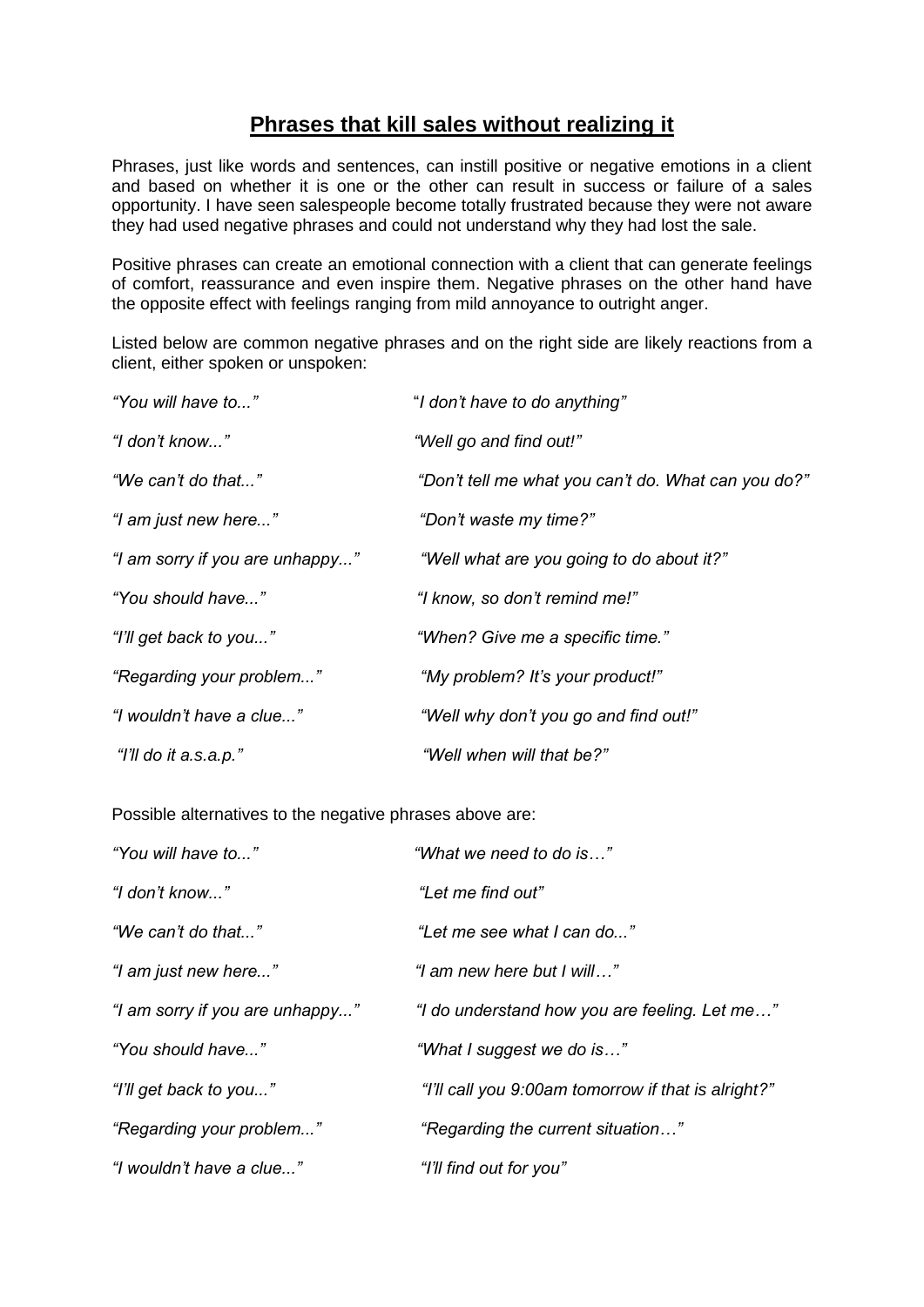## **Phrases that kill sales without realizing it**

Phrases, just like words and sentences, can instill positive or negative emotions in a client and based on whether it is one or the other can result in success or failure of a sales opportunity. I have seen salespeople become totally frustrated because they were not aware they had used negative phrases and could not understand why they had lost the sale.

Positive phrases can create an emotional connection with a client that can generate feelings of comfort, reassurance and even inspire them. Negative phrases on the other hand have the opposite effect with feelings ranging from mild annoyance to outright anger.

Listed below are common negative phrases and on the right side are likely reactions from a client, either spoken or unspoken:

| "You will have to"              | "I don't have to do anything"                       |
|---------------------------------|-----------------------------------------------------|
| "I don't know"                  | "Well go and find out!"                             |
| "We can't do that"              | "Don't tell me what you can't do. What can you do?" |
| "I am just new here"            | "Don't waste my time?"                              |
| "I am sorry if you are unhappy" | "Well what are you going to do about it?"           |
| "You should have"               | "I know, so don't remind me!"                       |
| "I'll get back to you"          | "When? Give me a specific time."                    |
| "Regarding your problem"        | "My problem? It's your product!"                    |
| "I wouldn't have a clue"        | "Well why don't you go and find out!"               |
| "I'll do it a.s.a.p."           | "Well when will that be?"                           |

Possible alternatives to the negative phrases above are:

| "You will have to"              | "What we need to do is"                             |
|---------------------------------|-----------------------------------------------------|
| "I don't know"                  | "Let me find out"                                   |
| "We can't do that…"             | "Let me see what I can do"                          |
| "I am just new here"            | "I am new here but I will"                          |
| "I am sorry if you are unhappy" | "I do understand how you are feeling. Let me"       |
| "You should have"               | "What I suggest we do is"                           |
| "I'll get back to you"          | "I'll call you 9:00am tomorrow if that is alright?" |
| "Regarding your problem"        | "Regarding the current situation"                   |
| "I wouldn't have a clue"        | "I'll find out for you"                             |